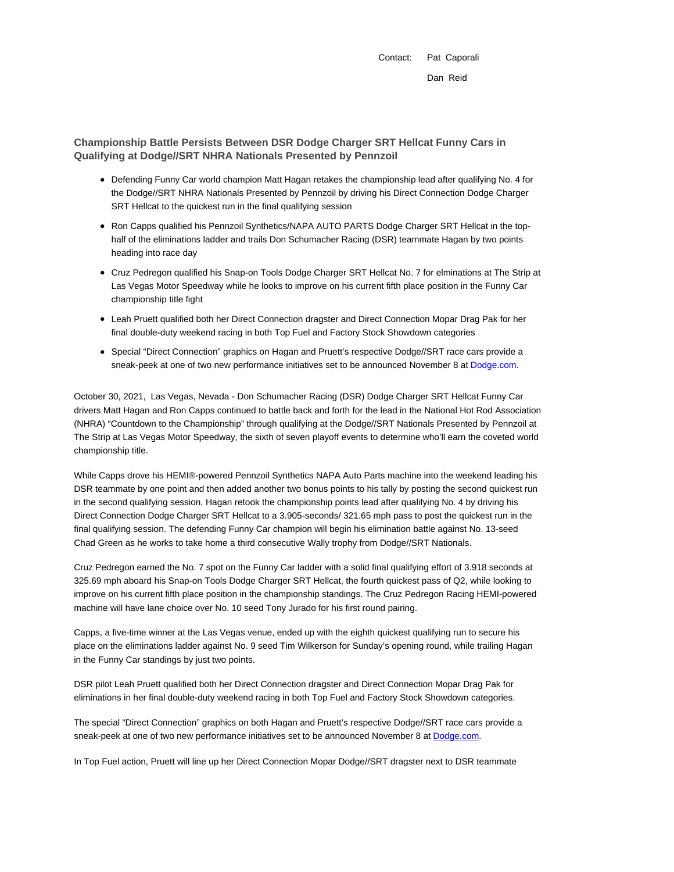Contact: Pat Caporali Dan Reid

**Championship Battle Persists Between DSR Dodge Charger SRT Hellcat Funny Cars in Qualifying at Dodge//SRT NHRA Nationals Presented by Pennzoil**

- Defending Funny Car world champion Matt Hagan retakes the championship lead after qualifying No. 4 for the Dodge//SRT NHRA Nationals Presented by Pennzoil by driving his Direct Connection Dodge Charger SRT Hellcat to the quickest run in the final qualifying session
- Ron Capps qualified his Pennzoil Synthetics/NAPA AUTO PARTS Dodge Charger SRT Hellcat in the tophalf of the eliminations ladder and trails Don Schumacher Racing (DSR) teammate Hagan by two points heading into race day
- Cruz Pedregon qualified his Snap-on Tools Dodge Charger SRT Hellcat No. 7 for elminations at The Strip at Las Vegas Motor Speedway while he looks to improve on his current fifth place position in the Funny Car championship title fight
- Leah Pruett qualified both her Direct Connection dragster and Direct Connection Mopar Drag Pak for her final double-duty weekend racing in both Top Fuel and Factory Stock Showdown categories
- Special "Direct Connection" graphics on Hagan and Pruett's respective Dodge//SRT race cars provide a sneak-peek at one of two new performance initiatives set to be announced November 8 at Dodge.com.

October 30, 2021, Las Vegas, Nevada - Don Schumacher Racing (DSR) Dodge Charger SRT Hellcat Funny Car drivers Matt Hagan and Ron Capps continued to battle back and forth for the lead in the National Hot Rod Association (NHRA) "Countdown to the Championship" through qualifying at the Dodge//SRT Nationals Presented by Pennzoil at The Strip at Las Vegas Motor Speedway, the sixth of seven playoff events to determine who'll earn the coveted world championship title.

While Capps drove his HEMI®-powered Pennzoil Synthetics NAPA Auto Parts machine into the weekend leading his DSR teammate by one point and then added another two bonus points to his tally by posting the second quickest run in the second qualifying session, Hagan retook the championship points lead after qualifying No. 4 by driving his Direct Connection Dodge Charger SRT Hellcat to a 3.905-seconds/ 321.65 mph pass to post the quickest run in the final qualifying session. The defending Funny Car champion will begin his elimination battle against No. 13-seed Chad Green as he works to take home a third consecutive Wally trophy from Dodge//SRT Nationals.

Cruz Pedregon earned the No. 7 spot on the Funny Car ladder with a solid final qualifying effort of 3.918 seconds at 325.69 mph aboard his Snap-on Tools Dodge Charger SRT Hellcat, the fourth quickest pass of Q2, while looking to improve on his current fifth place position in the championship standings. The Cruz Pedregon Racing HEMI-powered machine will have lane choice over No. 10 seed Tony Jurado for his first round pairing.

Capps, a five-time winner at the Las Vegas venue, ended up with the eighth quickest qualifying run to secure his place on the eliminations ladder against No. 9 seed Tim Wilkerson for Sunday's opening round, while trailing Hagan in the Funny Car standings by just two points.

DSR pilot Leah Pruett qualified both her Direct Connection dragster and Direct Connection Mopar Drag Pak for eliminations in her final double-duty weekend racing in both Top Fuel and Factory Stock Showdown categories.

The special "Direct Connection" graphics on both Hagan and Pruett's respective Dodge//SRT race cars provide a sneak-peek at one of two new performance initiatives set to be announced November 8 at Dodge.com.

In Top Fuel action, Pruett will line up her Direct Connection Mopar Dodge//SRT dragster next to DSR teammate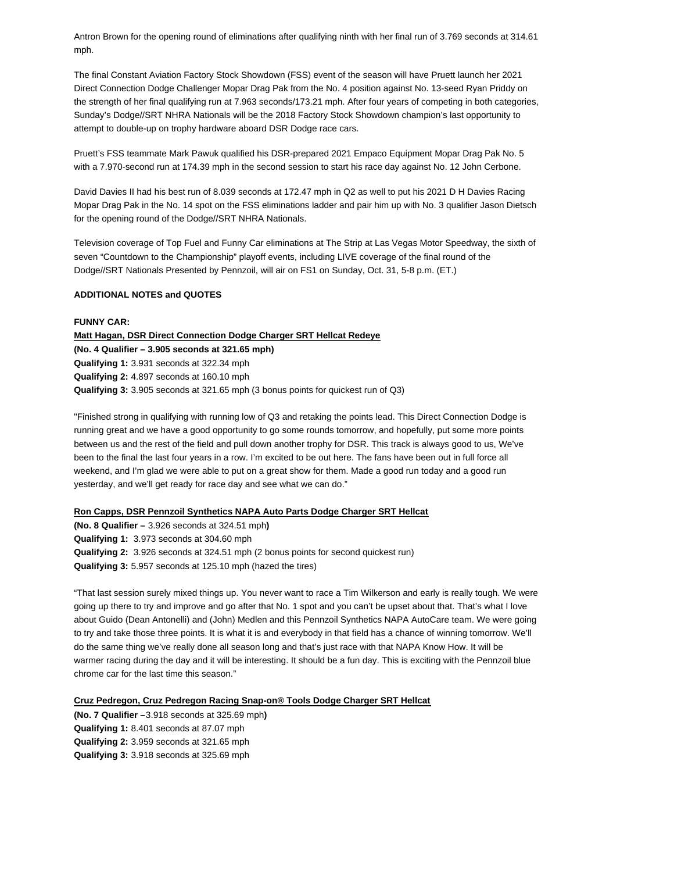Antron Brown for the opening round of eliminations after qualifying ninth with her final run of 3.769 seconds at 314.61 mph.

The final Constant Aviation Factory Stock Showdown (FSS) event of the season will have Pruett launch her 2021 Direct Connection Dodge Challenger Mopar Drag Pak from the No. 4 position against No. 13-seed Ryan Priddy on the strength of her final qualifying run at 7.963 seconds/173.21 mph. After four years of competing in both categories, Sunday's Dodge//SRT NHRA Nationals will be the 2018 Factory Stock Showdown champion's last opportunity to attempt to double-up on trophy hardware aboard DSR Dodge race cars.

Pruett's FSS teammate Mark Pawuk qualified his DSR-prepared 2021 Empaco Equipment Mopar Drag Pak No. 5 with a 7.970-second run at 174.39 mph in the second session to start his race day against No. 12 John Cerbone.

David Davies II had his best run of 8.039 seconds at 172.47 mph in Q2 as well to put his 2021 D H Davies Racing Mopar Drag Pak in the No. 14 spot on the FSS eliminations ladder and pair him up with No. 3 qualifier Jason Dietsch for the opening round of the Dodge//SRT NHRA Nationals.

Television coverage of Top Fuel and Funny Car eliminations at The Strip at Las Vegas Motor Speedway, the sixth of seven "Countdown to the Championship" playoff events, including LIVE coverage of the final round of the Dodge//SRT Nationals Presented by Pennzoil, will air on FS1 on Sunday, Oct. 31, 5-8 p.m. (ET.)

## **ADDITIONAL NOTES and QUOTES**

## **FUNNY CAR:**

**Matt Hagan, DSR Direct Connection Dodge Charger SRT Hellcat Redeye (No. 4 Qualifier – 3.905 seconds at 321.65 mph) Qualifying 1:** 3.931 seconds at 322.34 mph **Qualifying 2:** 4.897 seconds at 160.10 mph **Qualifying 3:** 3.905 seconds at 321.65 mph (3 bonus points for quickest run of Q3)

"Finished strong in qualifying with running low of Q3 and retaking the points lead. This Direct Connection Dodge is running great and we have a good opportunity to go some rounds tomorrow, and hopefully, put some more points between us and the rest of the field and pull down another trophy for DSR. This track is always good to us, We've been to the final the last four years in a row. I'm excited to be out here. The fans have been out in full force all weekend, and I'm glad we were able to put on a great show for them. Made a good run today and a good run yesterday, and we'll get ready for race day and see what we can do."

## **Ron Capps, DSR Pennzoil Synthetics NAPA Auto Parts Dodge Charger SRT Hellcat**

**(No. 8 Qualifier –** 3.926 seconds at 324.51 mph**) Qualifying 1:** 3.973 seconds at 304.60 mph **Qualifying 2:** 3.926 seconds at 324.51 mph (2 bonus points for second quickest run) **Qualifying 3:** 5.957 seconds at 125.10 mph (hazed the tires)

"That last session surely mixed things up. You never want to race a Tim Wilkerson and early is really tough. We were going up there to try and improve and go after that No. 1 spot and you can't be upset about that. That's what I love about Guido (Dean Antonelli) and (John) Medlen and this Pennzoil Synthetics NAPA AutoCare team. We were going to try and take those three points. It is what it is and everybody in that field has a chance of winning tomorrow. We'll do the same thing we've really done all season long and that's just race with that NAPA Know How. It will be warmer racing during the day and it will be interesting. It should be a fun day. This is exciting with the Pennzoil blue chrome car for the last time this season."

# **Cruz Pedregon, Cruz Pedregon Racing Snap-on® Tools Dodge Charger SRT Hellcat**

**(No. 7 Qualifier –**3.918 seconds at 325.69 mph**) Qualifying 1:** 8.401 seconds at 87.07 mph **Qualifying 2:** 3.959 seconds at 321.65 mph **Qualifying 3:** 3.918 seconds at 325.69 mph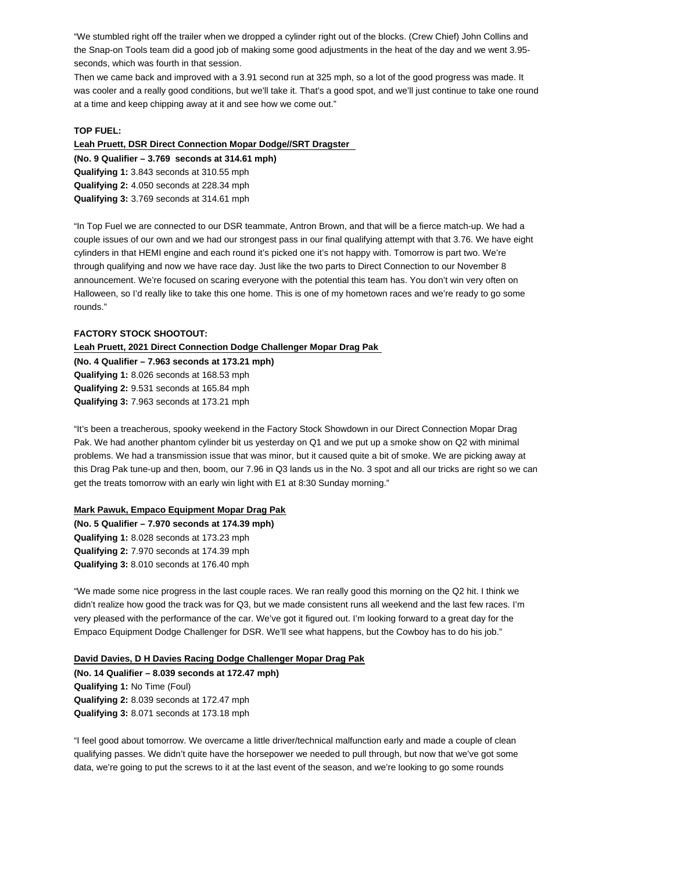"We stumbled right off the trailer when we dropped a cylinder right out of the blocks. (Crew Chief) John Collins and the Snap-on Tools team did a good job of making some good adjustments in the heat of the day and we went 3.95 seconds, which was fourth in that session.

Then we came back and improved with a 3.91 second run at 325 mph, so a lot of the good progress was made. It was cooler and a really good conditions, but we'll take it. That's a good spot, and we'll just continue to take one round at a time and keep chipping away at it and see how we come out."

### **TOP FUEL:**

**Leah Pruett, DSR Direct Connection Mopar Dodge//SRT Dragster** 

**(No. 9 Qualifier – 3.769 seconds at 314.61 mph) Qualifying 1:** 3.843 seconds at 310.55 mph **Qualifying 2:** 4.050 seconds at 228.34 mph

**Qualifying 3:** 3.769 seconds at 314.61 mph

"In Top Fuel we are connected to our DSR teammate, Antron Brown, and that will be a fierce match-up. We had a couple issues of our own and we had our strongest pass in our final qualifying attempt with that 3.76. We have eight cylinders in that HEMI engine and each round it's picked one it's not happy with. Tomorrow is part two. We're through qualifying and now we have race day. Just like the two parts to Direct Connection to our November 8 announcement. We're focused on scaring everyone with the potential this team has. You don't win very often on Halloween, so I'd really like to take this one home. This is one of my hometown races and we're ready to go some rounds."

#### **FACTORY STOCK SHOOTOUT:**

### **Leah Pruett, 2021 Direct Connection Dodge Challenger Mopar Drag Pak**

**(No. 4 Qualifier – 7.963 seconds at 173.21 mph) Qualifying 1:** 8.026 seconds at 168.53 mph **Qualifying 2:** 9.531 seconds at 165.84 mph **Qualifying 3:** 7.963 seconds at 173.21 mph

"It's been a treacherous, spooky weekend in the Factory Stock Showdown in our Direct Connection Mopar Drag Pak. We had another phantom cylinder bit us yesterday on Q1 and we put up a smoke show on Q2 with minimal problems. We had a transmission issue that was minor, but it caused quite a bit of smoke. We are picking away at this Drag Pak tune-up and then, boom, our 7.96 in Q3 lands us in the No. 3 spot and all our tricks are right so we can get the treats tomorrow with an early win light with E1 at 8:30 Sunday morning."

# **Mark Pawuk, Empaco Equipment Mopar Drag Pak**

**(No. 5 Qualifier – 7.970 seconds at 174.39 mph) Qualifying 1:** 8.028 seconds at 173.23 mph **Qualifying 2:** 7.970 seconds at 174.39 mph **Qualifying 3:** 8.010 seconds at 176.40 mph

"We made some nice progress in the last couple races. We ran really good this morning on the Q2 hit. I think we didn't realize how good the track was for Q3, but we made consistent runs all weekend and the last few races. I'm very pleased with the performance of the car. We've got it figured out. I'm looking forward to a great day for the Empaco Equipment Dodge Challenger for DSR. We'll see what happens, but the Cowboy has to do his job."

#### **David Davies, D H Davies Racing Dodge Challenger Mopar Drag Pak**

**(No. 14 Qualifier – 8.039 seconds at 172.47 mph) Qualifying 1:** No Time (Foul) **Qualifying 2:** 8.039 seconds at 172.47 mph **Qualifying 3:** 8.071 seconds at 173.18 mph

"I feel good about tomorrow. We overcame a little driver/technical malfunction early and made a couple of clean qualifying passes. We didn't quite have the horsepower we needed to pull through, but now that we've got some data, we're going to put the screws to it at the last event of the season, and we're looking to go some rounds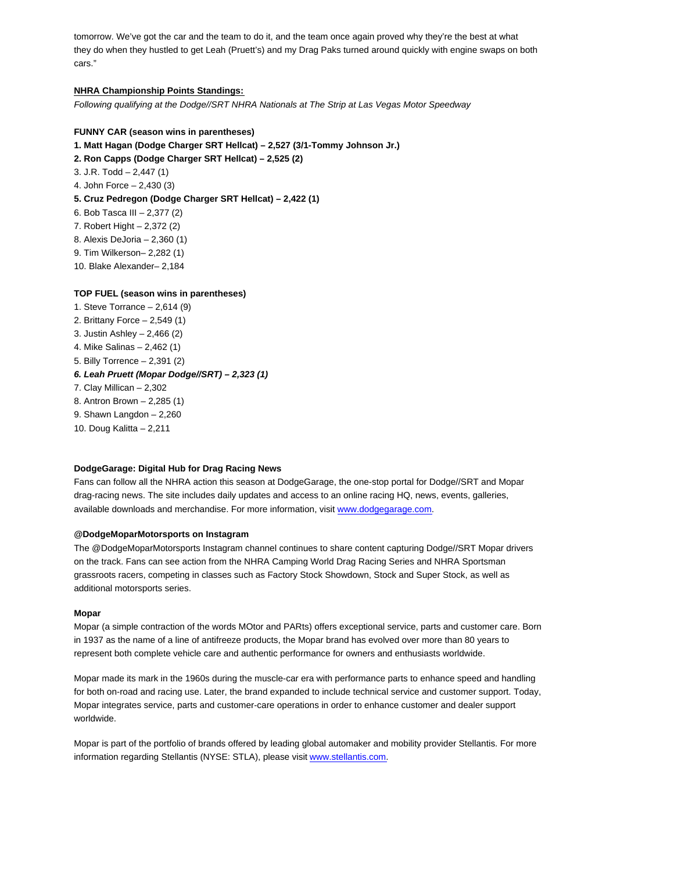tomorrow. We've got the car and the team to do it, and the team once again proved why they're the best at what they do when they hustled to get Leah (Pruett's) and my Drag Paks turned around quickly with engine swaps on both cars."

## **NHRA Championship Points Standings:**

Following qualifying at the Dodge//SRT NHRA Nationals at The Strip at Las Vegas Motor Speedway

## **FUNNY CAR (season wins in parentheses)**

**1. Matt Hagan (Dodge Charger SRT Hellcat) – 2,527 (3/1-Tommy Johnson Jr.)**

- **2. Ron Capps (Dodge Charger SRT Hellcat) 2,525 (2)**
- 3. J.R. Todd 2,447 (1)
- 4. John Force 2,430 (3)
- **5. Cruz Pedregon (Dodge Charger SRT Hellcat) 2,422 (1)**
- 6. Bob Tasca III 2,377 (2)
- 7. Robert Hight 2,372 (2)
- 8. Alexis DeJoria 2,360 (1)
- 9. Tim Wilkerson– 2,282 (1)
- 10. Blake Alexander– 2,184

## **TOP FUEL (season wins in parentheses)**

1. Steve Torrance – 2,614 (9) 2. Brittany Force – 2,549 (1) 3. Justin Ashley – 2,466 (2) 4. Mike Salinas – 2,462 (1) 5. Billy Torrence – 2,391 (2) **6. Leah Pruett (Mopar Dodge//SRT) – 2,323 (1)** 7. Clay Millican – 2,302 8. Antron Brown – 2,285 (1) 9. Shawn Langdon – 2,260 10. Doug Kalitta – 2,211

## **DodgeGarage: Digital Hub for Drag Racing News**

Fans can follow all the NHRA action this season at DodgeGarage, the one-stop portal for Dodge//SRT and Mopar drag-racing news. The site includes daily updates and access to an online racing HQ, news, events, galleries, available downloads and merchandise. For more information, visit www.dodgegarage.com.

## **@DodgeMoparMotorsports on Instagram**

The @DodgeMoparMotorsports Instagram channel continues to share content capturing Dodge//SRT Mopar drivers on the track. Fans can see action from the NHRA Camping World Drag Racing Series and NHRA Sportsman grassroots racers, competing in classes such as Factory Stock Showdown, Stock and Super Stock, as well as additional motorsports series.

## **Mopar**

Mopar (a simple contraction of the words MOtor and PARts) offers exceptional service, parts and customer care. Born in 1937 as the name of a line of antifreeze products, the Mopar brand has evolved over more than 80 years to represent both complete vehicle care and authentic performance for owners and enthusiasts worldwide.

Mopar made its mark in the 1960s during the muscle-car era with performance parts to enhance speed and handling for both on-road and racing use. Later, the brand expanded to include technical service and customer support. Today, Mopar integrates service, parts and customer-care operations in order to enhance customer and dealer support worldwide.

Mopar is part of the portfolio of brands offered by leading global automaker and mobility provider Stellantis. For more information regarding Stellantis (NYSE: STLA), please visit www.stellantis.com.